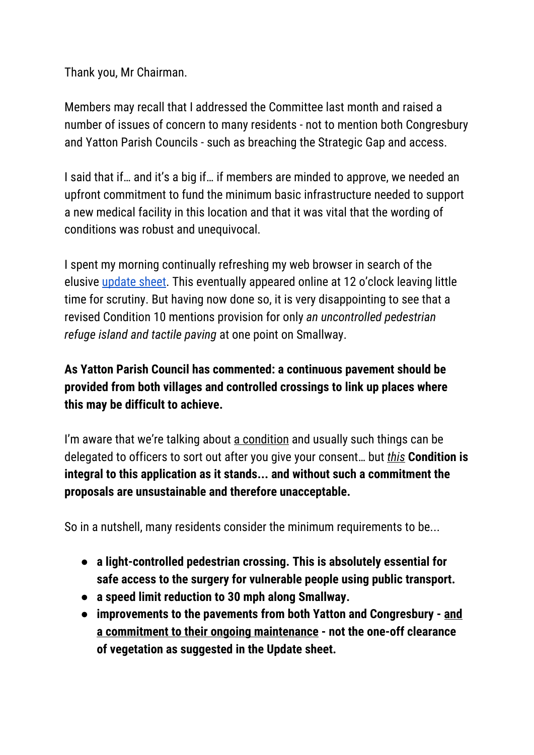Thank you, Mr Chairman.

Members may recall that I addressed the Committee last month and raised a number of issues of concern to many residents - not to mention both Congresbury and Yatton Parish Councils - such as breaching the Strategic Gap and access.

I said that if… and it's a big if… if members are minded to approve, we needed an upfront commitment to fund the minimum basic infrastructure needed to support a new medical facility in this location and that it was vital that the wording of conditions was robust and unequivocal.

I spent my morning continually refreshing my web browser in search of the elusive [update](http://steve4yatton.uk/wp-content/uploads/2018/10/17_P_5592_FUL-P_R_COMMITTEE_UPDATE_SHEET_FOR_10_OCTOBER_2018-2740077.pdf) sheet. This eventually appeared online at 12 o'clock leaving little time for scrutiny. But having now done so, it is very disappointing to see that a revised Condition 10 mentions provision for only *an uncontrolled pedestrian refuge island and tactile paving* at one point on Smallway.

## **As Yatton Parish Council has commented: a continuous pavement should be provided from both villages and controlled crossings to link up places where this may be difficult to achieve.**

I'm aware that we're talking about a condition and usually such things can be delegated to officers to sort out after you give your consent… but *this* **Condition is integral to this application as it stands... and without such a commitment the proposals are unsustainable and therefore unacceptable.**

So in a nutshell, many residents consider the minimum requirements to be...

- **● a light-controlled pedestrian crossing. This is absolutely essential for safe access to the surgery for vulnerable people using public transport.**
- **● a speed limit reduction to 30 mph along Smallway.**
- **● improvements to the pavements from both Yatton and Congresbury - and a commitment to their ongoing maintenance - not the one-off clearance of vegetation as suggested in the Update sheet.**